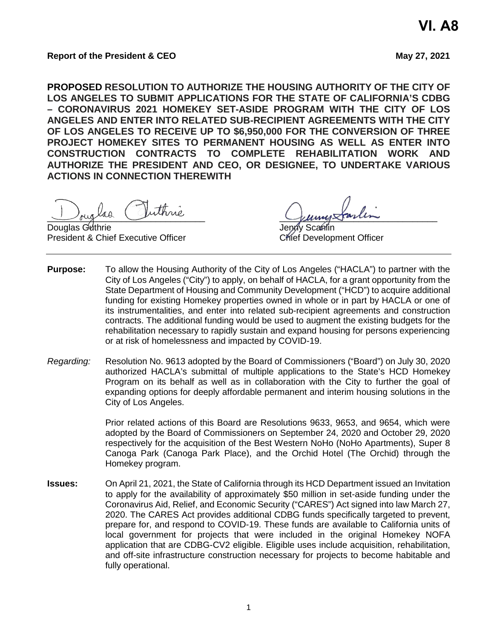**PROPOSED RESOLUTION TO AUTHORIZE THE HOUSING AUTHORITY OF THE CITY OF LOS ANGELES TO SUBMIT APPLICATIONS FOR THE STATE OF CALIFORNIA'S CDBG – CORONAVIRUS 2021 HOMEKEY SET-ASIDE PROGRAM WITH THE CITY OF LOS ANGELES AND ENTER INTO RELATED SUB-RECIPIENT AGREEMENTS WITH THE CITY OF LOS ANGELES TO RECEIVE UP TO \$6,950,000 FOR THE CONVERSION OF THREE PROJECT HOMEKEY SITES TO PERMANENT HOUSING AS WELL AS ENTER INTO CONSTRUCTION CONTRACTS TO COMPLETE REHABILITATION WORK AND AUTHORIZE THE PRESIDENT AND CEO, OR DESIGNEE, TO UNDERTAKE VARIOUS ACTIONS IN CONNECTION THEREWITH**

august comme

Douglas Guthrie President & Chief Executive Officer Chief Development Officer

- **Purpose:** To allow the Housing Authority of the City of Los Angeles ("HACLA") to partner with the City of Los Angeles ("City") to apply, on behalf of HACLA, for a grant opportunity from the State Department of Housing and Community Development ("HCD") to acquire additional funding for existing Homekey properties owned in whole or in part by HACLA or one of its instrumentalities, and enter into related sub-recipient agreements and construction contracts. The additional funding would be used to augment the existing budgets for the rehabilitation necessary to rapidly sustain and expand housing for persons experiencing or at risk of homelessness and impacted by COVID-19.
- *Regarding:* Resolution No. 9613 adopted by the Board of Commissioners ("Board") on July 30, 2020 authorized HACLA's submittal of multiple applications to the State's HCD Homekey Program on its behalf as well as in collaboration with the City to further the goal of expanding options for deeply affordable permanent and interim housing solutions in the City of Los Angeles.

Prior related actions of this Board are Resolutions 9633, 9653, and 9654, which were adopted by the Board of Commissioners on September 24, 2020 and October 29, 2020 respectively for the acquisition of the Best Western NoHo (NoHo Apartments), Super 8 Canoga Park (Canoga Park Place), and the Orchid Hotel (The Orchid) through the Homekey program.

**Issues:** On April 21, 2021, the State of California through its HCD Department issued an Invitation to apply for the availability of approximately \$50 million in set-aside funding under the Coronavirus Aid, Relief, and Economic Security ("CARES") Act signed into law March 27, 2020. The CARES Act provides additional CDBG funds specifically targeted to prevent, prepare for, and respond to COVID-19. These funds are available to California units of local government for projects that were included in the original Homekey NOFA application that are CDBG-CV2 eligible. Eligible uses include acquisition, rehabilitation, and off-site infrastructure construction necessary for projects to become habitable and fully operational.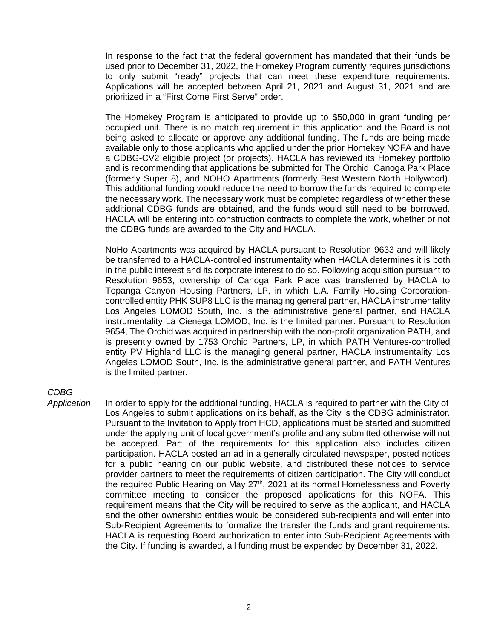In response to the fact that the federal government has mandated that their funds be used prior to December 31, 2022, the Homekey Program currently requires jurisdictions to only submit "ready" projects that can meet these expenditure requirements. Applications will be accepted between April 21, 2021 and August 31, 2021 and are prioritized in a "First Come First Serve" order.

The Homekey Program is anticipated to provide up to \$50,000 in grant funding per occupied unit. There is no match requirement in this application and the Board is not being asked to allocate or approve any additional funding. The funds are being made available only to those applicants who applied under the prior Homekey NOFA and have a CDBG-CV2 eligible project (or projects). HACLA has reviewed its Homekey portfolio and is recommending that applications be submitted for The Orchid, Canoga Park Place (formerly Super 8), and NOHO Apartments (formerly Best Western North Hollywood). This additional funding would reduce the need to borrow the funds required to complete the necessary work. The necessary work must be completed regardless of whether these additional CDBG funds are obtained, and the funds would still need to be borrowed. HACLA will be entering into construction contracts to complete the work, whether or not the CDBG funds are awarded to the City and HACLA.

NoHo Apartments was acquired by HACLA pursuant to Resolution 9633 and will likely be transferred to a HACLA-controlled instrumentality when HACLA determines it is both in the public interest and its corporate interest to do so. Following acquisition pursuant to Resolution 9653, ownership of Canoga Park Place was transferred by HACLA to Topanga Canyon Housing Partners, LP, in which L.A. Family Housing Corporationcontrolled entity PHK SUP8 LLC is the managing general partner, HACLA instrumentality Los Angeles LOMOD South, Inc. is the administrative general partner, and HACLA instrumentality La Cienega LOMOD, Inc. is the limited partner. Pursuant to Resolution 9654, The Orchid was acquired in partnership with the non-profit organization PATH, and is presently owned by 1753 Orchid Partners, LP, in which PATH Ventures-controlled entity PV Highland LLC is the managing general partner, HACLA instrumentality Los Angeles LOMOD South, Inc. is the administrative general partner, and PATH Ventures is the limited partner.

# *CDBG*

*Application* In order to apply for the additional funding, HACLA is required to partner with the City of Los Angeles to submit applications on its behalf, as the City is the CDBG administrator. Pursuant to the Invitation to Apply from HCD, applications must be started and submitted under the applying unit of local government's profile and any submitted otherwise will not be accepted. Part of the requirements for this application also includes citizen participation. HACLA posted an ad in a generally circulated newspaper, posted notices for a public hearing on our public website, and distributed these notices to service provider partners to meet the requirements of citizen participation. The City will conduct the required Public Hearing on May 27<sup>th</sup>, 2021 at its normal Homelessness and Poverty committee meeting to consider the proposed applications for this NOFA. This requirement means that the City will be required to serve as the applicant, and HACLA and the other ownership entities would be considered sub-recipients and will enter into Sub-Recipient Agreements to formalize the transfer the funds and grant requirements. HACLA is requesting Board authorization to enter into Sub-Recipient Agreements with the City. If funding is awarded, all funding must be expended by December 31, 2022.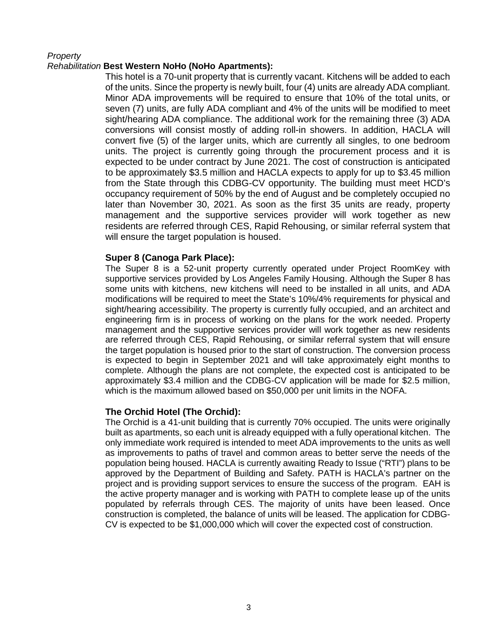### *Property*

### *Rehabilitation* **Best Western NoHo (NoHo Apartments):**

This hotel is a 70-unit property that is currently vacant. Kitchens will be added to each of the units. Since the property is newly built, four (4) units are already ADA compliant. Minor ADA improvements will be required to ensure that 10% of the total units, or seven (7) units, are fully ADA compliant and 4% of the units will be modified to meet sight/hearing ADA compliance. The additional work for the remaining three (3) ADA conversions will consist mostly of adding roll-in showers. In addition, HACLA will convert five (5) of the larger units, which are currently all singles, to one bedroom units. The project is currently going through the procurement process and it is expected to be under contract by June 2021. The cost of construction is anticipated to be approximately \$3.5 million and HACLA expects to apply for up to \$3.45 million from the State through this CDBG-CV opportunity. The building must meet HCD's occupancy requirement of 50% by the end of August and be completely occupied no later than November 30, 2021. As soon as the first 35 units are ready, property management and the supportive services provider will work together as new residents are referred through CES, Rapid Rehousing, or similar referral system that will ensure the target population is housed.

### **Super 8 (Canoga Park Place):**

The Super 8 is a 52-unit property currently operated under Project RoomKey with supportive services provided by Los Angeles Family Housing. Although the Super 8 has some units with kitchens, new kitchens will need to be installed in all units, and ADA modifications will be required to meet the State's 10%/4% requirements for physical and sight/hearing accessibility. The property is currently fully occupied, and an architect and engineering firm is in process of working on the plans for the work needed. Property management and the supportive services provider will work together as new residents are referred through CES, Rapid Rehousing, or similar referral system that will ensure the target population is housed prior to the start of construction. The conversion process is expected to begin in September 2021 and will take approximately eight months to complete. Although the plans are not complete, the expected cost is anticipated to be approximately \$3.4 million and the CDBG-CV application will be made for \$2.5 million, which is the maximum allowed based on \$50,000 per unit limits in the NOFA.

## **The Orchid Hotel (The Orchid):**

The Orchid is a 41-unit building that is currently 70% occupied. The units were originally built as apartments, so each unit is already equipped with a fully operational kitchen. The only immediate work required is intended to meet ADA improvements to the units as well as improvements to paths of travel and common areas to better serve the needs of the population being housed. HACLA is currently awaiting Ready to Issue ("RTI") plans to be approved by the Department of Building and Safety. PATH is HACLA's partner on the project and is providing support services to ensure the success of the program. EAH is the active property manager and is working with PATH to complete lease up of the units populated by referrals through CES. The majority of units have been leased. Once construction is completed, the balance of units will be leased. The application for CDBG-CV is expected to be \$1,000,000 which will cover the expected cost of construction.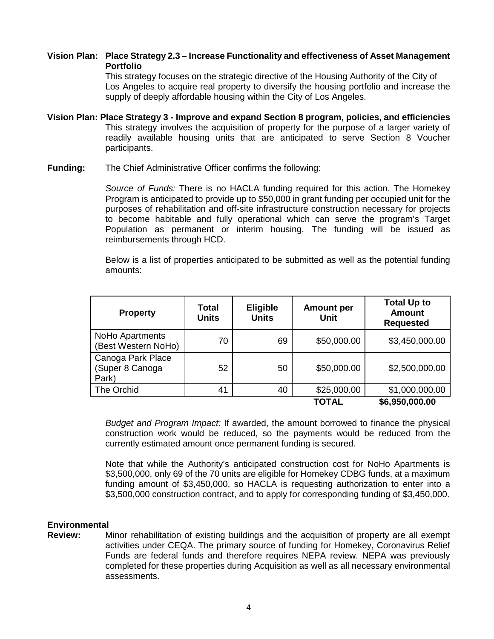## **Vision Plan: Place Strategy 2.3 – Increase Functionality and effectiveness of Asset Management Portfolio**

This strategy focuses on the strategic directive of the Housing Authority of the City of Los Angeles to acquire real property to diversify the housing portfolio and increase the supply of deeply affordable housing within the City of Los Angeles.

- **Vision Plan: Place Strategy 3 Improve and expand Section 8 program, policies, and efficiencies** This strategy involves the acquisition of property for the purpose of a larger variety of readily available housing units that are anticipated to serve Section 8 Voucher participants.
- **Funding:** The Chief Administrative Officer confirms the following:

*Source of Funds:* There is no HACLA funding required for this action. The Homekey Program is anticipated to provide up to \$50,000 in grant funding per occupied unit for the purposes of rehabilitation and off-site infrastructure construction necessary for projects to become habitable and fully operational which can serve the program's Target Population as permanent or interim housing. The funding will be issued as reimbursements through HCD.

Below is a list of properties anticipated to be submitted as well as the potential funding amounts:

| <b>Property</b>                               | Total<br><b>Units</b> | <b>Eligible</b><br><b>Units</b> | <b>Amount per</b><br><b>Unit</b> | <b>Total Up to</b><br><b>Amount</b><br><b>Requested</b> |
|-----------------------------------------------|-----------------------|---------------------------------|----------------------------------|---------------------------------------------------------|
| NoHo Apartments<br>(Best Western NoHo)        | 70                    | 69                              | \$50,000.00                      | \$3,450,000.00                                          |
| Canoga Park Place<br>(Super 8 Canoga<br>Park) | 52                    | 50                              | \$50,000.00                      | \$2,500,000.00                                          |
| The Orchid                                    | 41                    | 40                              | \$25,000.00                      | \$1,000,000.00                                          |
|                                               |                       |                                 | TOTAL                            | \$6,950,000.00                                          |

*Budget and Program Impact:* If awarded, the amount borrowed to finance the physical construction work would be reduced, so the payments would be reduced from the currently estimated amount once permanent funding is secured.

Note that while the Authority's anticipated construction cost for NoHo Apartments is \$3,500,000, only 69 of the 70 units are eligible for Homekey CDBG funds, at a maximum funding amount of \$3,450,000, so HACLA is requesting authorization to enter into a \$3,500,000 construction contract, and to apply for corresponding funding of \$3,450,000.

#### **Environmental**

**Review:** Minor rehabilitation of existing buildings and the acquisition of property are all exempt activities under CEQA. The primary source of funding for Homekey, Coronavirus Relief Funds are federal funds and therefore requires NEPA review. NEPA was previously completed for these properties during Acquisition as well as all necessary environmental assessments.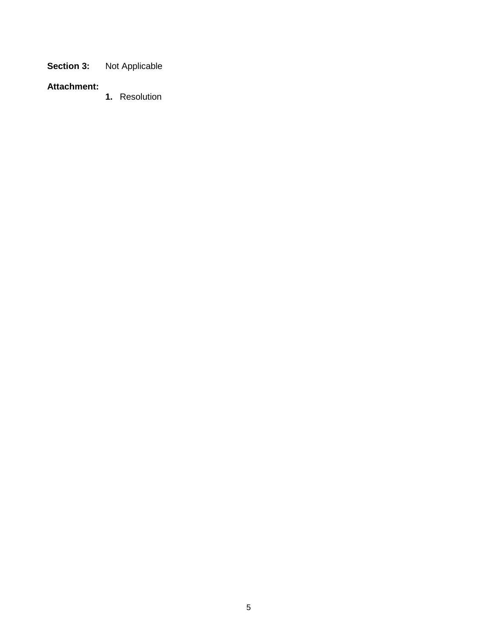**Section 3:** Not Applicable

# **Attachment:**

**1.** Resolution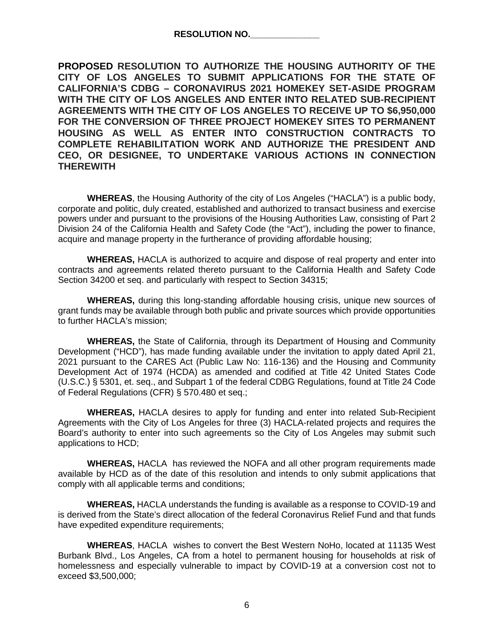**PROPOSED RESOLUTION TO AUTHORIZE THE HOUSING AUTHORITY OF THE CITY OF LOS ANGELES TO SUBMIT APPLICATIONS FOR THE STATE OF CALIFORNIA'S CDBG – CORONAVIRUS 2021 HOMEKEY SET-ASIDE PROGRAM WITH THE CITY OF LOS ANGELES AND ENTER INTO RELATED SUB-RECIPIENT AGREEMENTS WITH THE CITY OF LOS ANGELES TO RECEIVE UP TO \$6,950,000 FOR THE CONVERSION OF THREE PROJECT HOMEKEY SITES TO PERMANENT HOUSING AS WELL AS ENTER INTO CONSTRUCTION CONTRACTS TO COMPLETE REHABILITATION WORK AND AUTHORIZE THE PRESIDENT AND CEO, OR DESIGNEE, TO UNDERTAKE VARIOUS ACTIONS IN CONNECTION THEREWITH**

**WHEREAS**, the Housing Authority of the city of Los Angeles ("HACLA") is a public body, corporate and politic, duly created, established and authorized to transact business and exercise powers under and pursuant to the provisions of the Housing Authorities Law, consisting of Part 2 Division 24 of the California Health and Safety Code (the "Act"), including the power to finance, acquire and manage property in the furtherance of providing affordable housing;

**WHEREAS,** HACLA is authorized to acquire and dispose of real property and enter into contracts and agreements related thereto pursuant to the California Health and Safety Code Section 34200 et seq. and particularly with respect to Section 34315;

**WHEREAS,** during this long-standing affordable housing crisis, unique new sources of grant funds may be available through both public and private sources which provide opportunities to further HACLA's mission;

**WHEREAS,** the State of California, through its Department of Housing and Community Development ("HCD"), has made funding available under the invitation to apply dated April 21, 2021 pursuant to the CARES Act (Public Law No: 116-136) and the Housing and Community Development Act of 1974 (HCDA) as amended and codified at Title 42 United States Code (U.S.C.) § 5301, et. seq., and Subpart 1 of the federal CDBG Regulations, found at Title 24 Code of Federal Regulations (CFR) § 570.480 et seq.;

**WHEREAS,** HACLA desires to apply for funding and enter into related Sub-Recipient Agreements with the City of Los Angeles for three (3) HACLA-related projects and requires the Board's authority to enter into such agreements so the City of Los Angeles may submit such applications to HCD;

**WHEREAS,** HACLA has reviewed the NOFA and all other program requirements made available by HCD as of the date of this resolution and intends to only submit applications that comply with all applicable terms and conditions;

**WHEREAS,** HACLA understands the funding is available as a response to COVID-19 and is derived from the State's direct allocation of the federal Coronavirus Relief Fund and that funds have expedited expenditure requirements;

**WHEREAS**, HACLA wishes to convert the Best Western NoHo, located at 11135 West Burbank Blvd., Los Angeles, CA from a hotel to permanent housing for households at risk of homelessness and especially vulnerable to impact by COVID-19 at a conversion cost not to exceed \$3,500,000;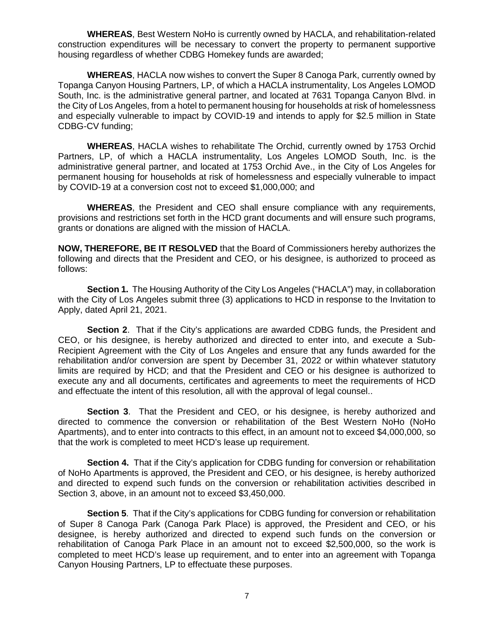**WHEREAS**, Best Western NoHo is currently owned by HACLA, and rehabilitation-related construction expenditures will be necessary to convert the property to permanent supportive housing regardless of whether CDBG Homekey funds are awarded;

**WHEREAS**, HACLA now wishes to convert the Super 8 Canoga Park, currently owned by Topanga Canyon Housing Partners, LP, of which a HACLA instrumentality, Los Angeles LOMOD South, Inc. is the administrative general partner, and located at 7631 Topanga Canyon Blvd. in the City of Los Angeles, from a hotel to permanent housing for households at risk of homelessness and especially vulnerable to impact by COVID-19 and intends to apply for \$2.5 million in State CDBG-CV funding;

**WHEREAS**, HACLA wishes to rehabilitate The Orchid, currently owned by 1753 Orchid Partners, LP, of which a HACLA instrumentality, Los Angeles LOMOD South, Inc. is the administrative general partner, and located at 1753 Orchid Ave., in the City of Los Angeles for permanent housing for households at risk of homelessness and especially vulnerable to impact by COVID-19 at a conversion cost not to exceed \$1,000,000; and

**WHEREAS**, the President and CEO shall ensure compliance with any requirements, provisions and restrictions set forth in the HCD grant documents and will ensure such programs, grants or donations are aligned with the mission of HACLA.

**NOW, THEREFORE, BE IT RESOLVED** that the Board of Commissioners hereby authorizes the following and directs that the President and CEO, or his designee, is authorized to proceed as follows:

**Section 1.** The Housing Authority of the City Los Angeles ("HACLA") may, in collaboration with the City of Los Angeles submit three (3) applications to HCD in response to the Invitation to Apply, dated April 21, 2021.

**Section 2**. That if the City's applications are awarded CDBG funds, the President and CEO, or his designee, is hereby authorized and directed to enter into, and execute a Sub-Recipient Agreement with the City of Los Angeles and ensure that any funds awarded for the rehabilitation and/or conversion are spent by December 31, 2022 or within whatever statutory limits are required by HCD; and that the President and CEO or his designee is authorized to execute any and all documents, certificates and agreements to meet the requirements of HCD and effectuate the intent of this resolution, all with the approval of legal counsel..

**Section 3**. That the President and CEO, or his designee, is hereby authorized and directed to commence the conversion or rehabilitation of the Best Western NoHo (NoHo Apartments), and to enter into contracts to this effect, in an amount not to exceed \$4,000,000, so that the work is completed to meet HCD's lease up requirement.

**Section 4.** That if the City's application for CDBG funding for conversion or rehabilitation of NoHo Apartments is approved, the President and CEO, or his designee, is hereby authorized and directed to expend such funds on the conversion or rehabilitation activities described in Section 3, above, in an amount not to exceed \$3,450,000.

**Section 5**. That if the City's applications for CDBG funding for conversion or rehabilitation of Super 8 Canoga Park (Canoga Park Place) is approved, the President and CEO, or his designee, is hereby authorized and directed to expend such funds on the conversion or rehabilitation of Canoga Park Place in an amount not to exceed \$2,500,000, so the work is completed to meet HCD's lease up requirement, and to enter into an agreement with Topanga Canyon Housing Partners, LP to effectuate these purposes.